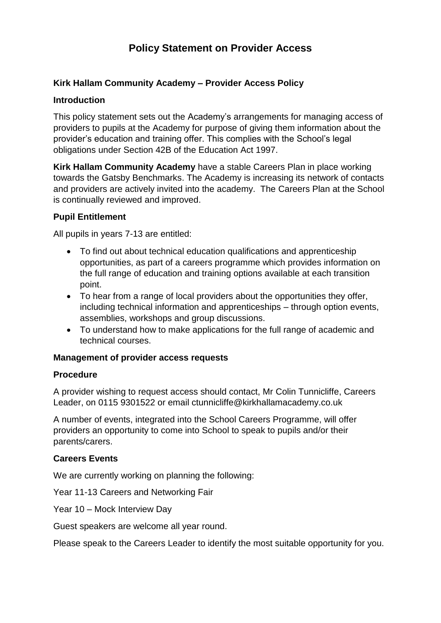# **Policy Statement on Provider Access**

## **Kirk Hallam Community Academy – Provider Access Policy**

#### **Introduction**

This policy statement sets out the Academy's arrangements for managing access of providers to pupils at the Academy for purpose of giving them information about the provider's education and training offer. This complies with the School's legal obligations under Section 42B of the Education Act 1997.

**Kirk Hallam Community Academy** have a stable Careers Plan in place working towards the Gatsby Benchmarks. The Academy is increasing its network of contacts and providers are actively invited into the academy. The Careers Plan at the School is continually reviewed and improved.

## **Pupil Entitlement**

All pupils in years 7-13 are entitled:

- To find out about technical education qualifications and apprenticeship opportunities, as part of a careers programme which provides information on the full range of education and training options available at each transition point.
- To hear from a range of local providers about the opportunities they offer, including technical information and apprenticeships – through option events, assemblies, workshops and group discussions.
- To understand how to make applications for the full range of academic and technical courses.

## **Management of provider access requests**

#### **Procedure**

A provider wishing to request access should contact, Mr Colin Tunnicliffe, Careers Leader, on 0115 9301522 or email ctunnicliffe@kirkhallamacademy.co.uk

A number of events, integrated into the School Careers Programme, will offer providers an opportunity to come into School to speak to pupils and/or their parents/carers.

## **Careers Events**

We are currently working on planning the following:

Year 11-13 Careers and Networking Fair

Year 10 – Mock Interview Day

Guest speakers are welcome all year round.

Please speak to the Careers Leader to identify the most suitable opportunity for you.